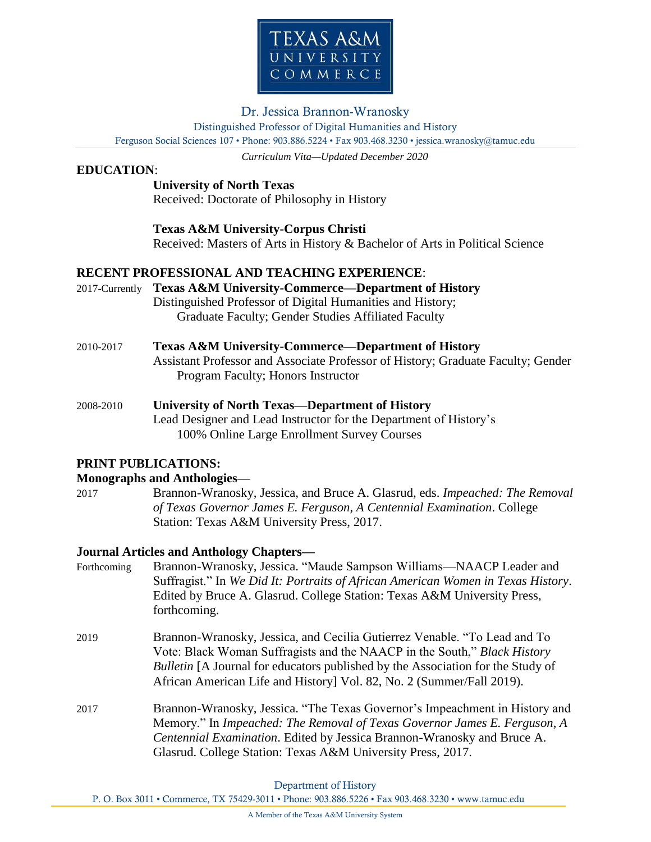

# Dr. Jessica Brannon-Wranosky

Distinguished Professor of Digital Humanities and History

Ferguson Social Sciences 107 • Phone: 903.886.5224 • Fax 903.468.3230 • jessica.wranosky@tamuc.edu

*Curriculum Vita—Updated December 2020*

# **EDUCATION**:

## **University of North Texas**

Received: Doctorate of Philosophy in History

## **Texas A&M University-Corpus Christi**

Received: Masters of Arts in History & Bachelor of Arts in Political Science

## **RECENT PROFESSIONAL AND TEACHING EXPERIENCE**:

- 2017-Currently **Texas A&M University-Commerce—Department of History** Distinguished Professor of Digital Humanities and History; Graduate Faculty; Gender Studies Affiliated Faculty
- 2010-2017 **Texas A&M University-Commerce—Department of History** Assistant Professor and Associate Professor of History; Graduate Faculty; Gender Program Faculty; Honors Instructor
- 2008-2010 **University of North Texas—Department of History** Lead Designer and Lead Instructor for the Department of History's 100% Online Large Enrollment Survey Courses

## **PRINT PUBLICATIONS:**

## **Monographs and Anthologies—**

2017 Brannon-Wranosky, Jessica, and Bruce A. Glasrud, eds. *Impeached: The Removal of Texas Governor James E. Ferguson, A Centennial Examination*. College Station: Texas A&M University Press, 2017.

## **Journal Articles and Anthology Chapters—**

- Forthcoming Brannon-Wranosky, Jessica. "Maude Sampson Williams—NAACP Leader and Suffragist." In *We Did It: Portraits of African American Women in Texas History*. Edited by Bruce A. Glasrud. College Station: Texas A&M University Press, forthcoming.
- 2019 Brannon-Wranosky, Jessica, and Cecilia Gutierrez Venable. "To Lead and To Vote: Black Woman Suffragists and the NAACP in the South," *Black History Bulletin* [A Journal for educators published by the Association for the Study of African American Life and History] Vol. 82, No. 2 (Summer/Fall 2019).
- 2017 Brannon-Wranosky, Jessica. "The Texas Governor's Impeachment in History and Memory." In *Impeached: The Removal of Texas Governor James E. Ferguson, A Centennial Examination*. Edited by Jessica Brannon-Wranosky and Bruce A. Glasrud. College Station: Texas A&M University Press, 2017.

Department of History

P. O. Box 3011 • Commerce, TX 75429-3011 • Phone: 903.886.5226 • Fax 903.468.3230 • www.tamuc.edu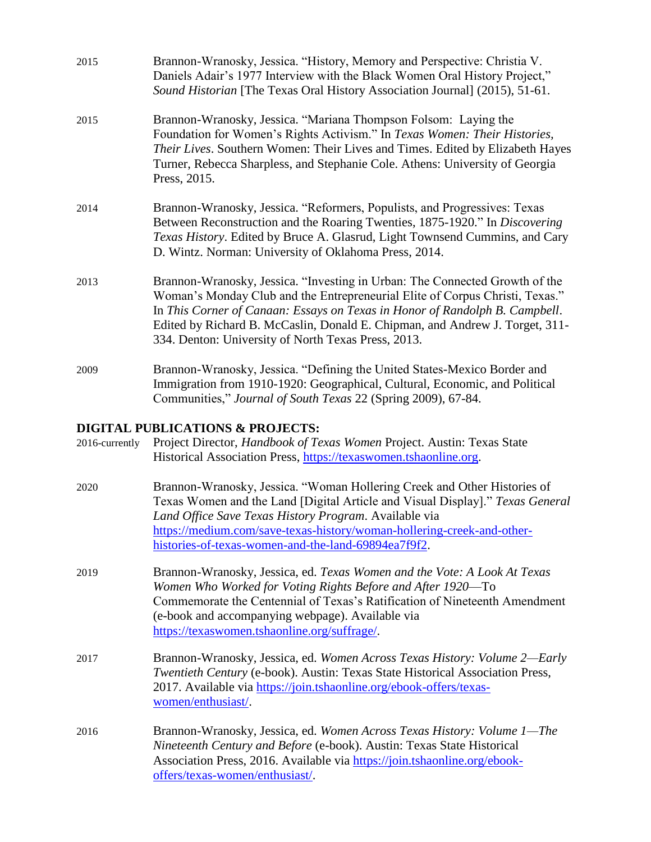| 2015 | Brannon-Wranosky, Jessica. "History, Memory and Perspective: Christia V.<br>Daniels Adair's 1977 Interview with the Black Women Oral History Project,"<br>Sound Historian [The Texas Oral History Association Journal] (2015), 51-61.                                                                                                                                             |
|------|-----------------------------------------------------------------------------------------------------------------------------------------------------------------------------------------------------------------------------------------------------------------------------------------------------------------------------------------------------------------------------------|
| 2015 | Brannon-Wranosky, Jessica. "Mariana Thompson Folsom: Laying the<br>Foundation for Women's Rights Activism." In Texas Women: Their Histories,<br>Their Lives. Southern Women: Their Lives and Times. Edited by Elizabeth Hayes<br>Turner, Rebecca Sharpless, and Stephanie Cole. Athens: University of Georgia<br>Press, 2015.                                                     |
| 2014 | Brannon-Wranosky, Jessica. "Reformers, Populists, and Progressives: Texas<br>Between Reconstruction and the Roaring Twenties, 1875-1920." In Discovering<br>Texas History. Edited by Bruce A. Glasrud, Light Townsend Cummins, and Cary<br>D. Wintz. Norman: University of Oklahoma Press, 2014.                                                                                  |
| 2013 | Brannon-Wranosky, Jessica. "Investing in Urban: The Connected Growth of the<br>Woman's Monday Club and the Entrepreneurial Elite of Corpus Christi, Texas."<br>In This Corner of Canaan: Essays on Texas in Honor of Randolph B. Campbell.<br>Edited by Richard B. McCaslin, Donald E. Chipman, and Andrew J. Torget, 311-<br>334. Denton: University of North Texas Press, 2013. |
| 2009 | Brannon-Wranosky, Jessica. "Defining the United States-Mexico Border and<br>Immigration from 1910-1920: Geographical, Cultural, Economic, and Political<br>Communities," Journal of South Texas 22 (Spring 2009), 67-84.                                                                                                                                                          |

# **DIGITAL PUBLICATIONS & PROJECTS:**

| 2016-currently | Project Director, <i>Handbook of Texas Women</i> Project. Austin: Texas State<br>Historical Association Press, https://texaswomen.tshaonline.org.                                                                                                                                                                                                   |
|----------------|-----------------------------------------------------------------------------------------------------------------------------------------------------------------------------------------------------------------------------------------------------------------------------------------------------------------------------------------------------|
| 2020           | Brannon-Wranosky, Jessica. "Woman Hollering Creek and Other Histories of<br>Texas Women and the Land [Digital Article and Visual Display]." Texas General<br>Land Office Save Texas History Program. Available via<br>https://medium.com/save-texas-history/woman-hollering-creek-and-other-<br>histories-of-texas-women-and-the-land-69894ea7f9f2. |
| 2019           | Brannon-Wranosky, Jessica, ed. Texas Women and the Vote: A Look At Texas<br>Women Who Worked for Voting Rights Before and After 1920—To<br>Commemorate the Centennial of Texas's Ratification of Nineteenth Amendment<br>(e-book and accompanying webpage). Available via<br>https://texaswomen.tshaonline.org/suffrage/.                           |
| 2017           | Brannon-Wranosky, Jessica, ed. Women Across Texas History: Volume 2—Early<br>Twentieth Century (e-book). Austin: Texas State Historical Association Press,<br>2017. Available via https://join.tshaonline.org/ebook-offers/texas-<br>women/enthusiast/.                                                                                             |
| 2016           | Brannon-Wranosky, Jessica, ed. Women Across Texas History: Volume 1—The<br>Nineteenth Century and Before (e-book). Austin: Texas State Historical<br>Association Press, 2016. Available via https://join.tshaonline.org/ebook-<br>offers/texas-women/enthusiast/.                                                                                   |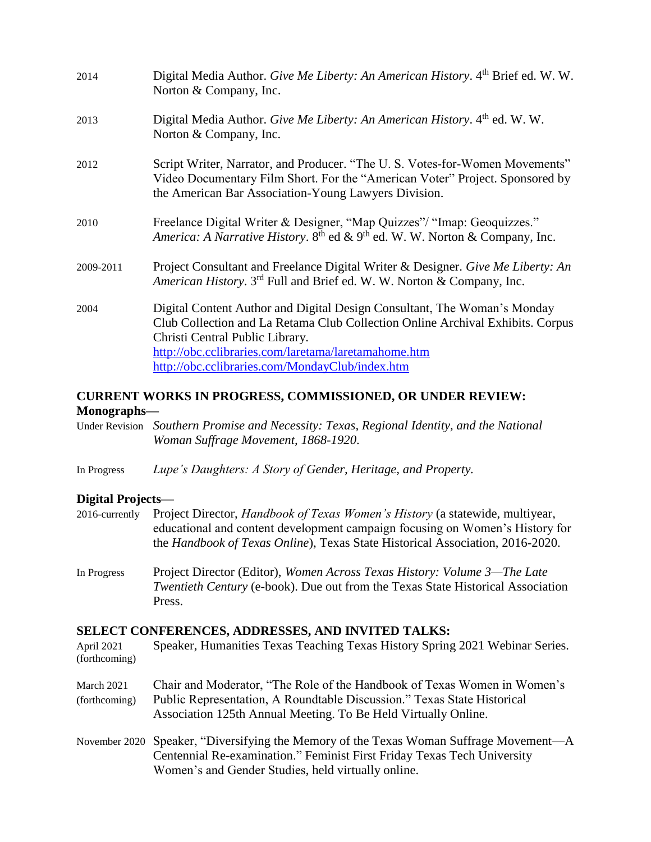| 2014      | Digital Media Author. Give Me Liberty: An American History. 4th Brief ed. W. W.<br>Norton & Company, Inc.                                                                                                                                                                                                |
|-----------|----------------------------------------------------------------------------------------------------------------------------------------------------------------------------------------------------------------------------------------------------------------------------------------------------------|
| 2013      | Digital Media Author. Give Me Liberty: An American History. 4th ed. W. W.<br>Norton & Company, Inc.                                                                                                                                                                                                      |
| 2012      | Script Writer, Narrator, and Producer. "The U.S. Votes-for-Women Movements"<br>Video Documentary Film Short. For the "American Voter" Project. Sponsored by<br>the American Bar Association-Young Lawyers Division.                                                                                      |
| 2010      | Freelance Digital Writer & Designer, "Map Quizzes"/ "Imap: Geoquizzes."<br>America: A Narrative History. 8 <sup>th</sup> ed & 9 <sup>th</sup> ed. W. W. Norton & Company, Inc.                                                                                                                           |
| 2009-2011 | Project Consultant and Freelance Digital Writer & Designer. Give Me Liberty: An<br>American History. 3 <sup>rd</sup> Full and Brief ed. W. W. Norton & Company, Inc.                                                                                                                                     |
| 2004      | Digital Content Author and Digital Design Consultant, The Woman's Monday<br>Club Collection and La Retama Club Collection Online Archival Exhibits. Corpus<br>Christi Central Public Library.<br>http://obc.cclibraries.com/laretama/laretamahome.htm<br>http://obc.cclibraries.com/MondayClub/index.htm |

## **CURRENT WORKS IN PROGRESS, COMMISSIONED, OR UNDER REVIEW: Monographs—**

Under Revision *Southern Promise and Necessity: Texas, Regional Identity, and the National Woman Suffrage Movement, 1868-1920*.

In Progress *Lupe's Daughters: A Story of Gender, Heritage, and Property.*

### **Digital Projects—**

|  | 2016-currently Project Director, <i>Handbook of Texas Women's History</i> (a statewide, multiyear, |
|--|----------------------------------------------------------------------------------------------------|
|  | educational and content development campaign focusing on Women's History for                       |
|  | the <i>Handbook of Texas Online</i> ), Texas State Historical Association, 2016-2020.              |

In Progress Project Director (Editor), *Women Across Texas History: Volume 3—The Late Twentieth Century* (e-book). Due out from the Texas State Historical Association Press.

#### **SELECT CONFERENCES, ADDRESSES, AND INVITED TALKS:**

April 2021 Speaker, Humanities Texas Teaching Texas History Spring 2021 Webinar Series. (forthcoming)

- March 2021 Chair and Moderator, "The Role of the Handbook of Texas Women in Women's (forthcoming) Public Representation, A Roundtable Discussion." Texas State Historical Association 125th Annual Meeting. To Be Held Virtually Online.
- November 2020 Speaker, "Diversifying the Memory of the Texas Woman Suffrage Movement—A Centennial Re-examination." Feminist First Friday Texas Tech University Women's and Gender Studies, held virtually online.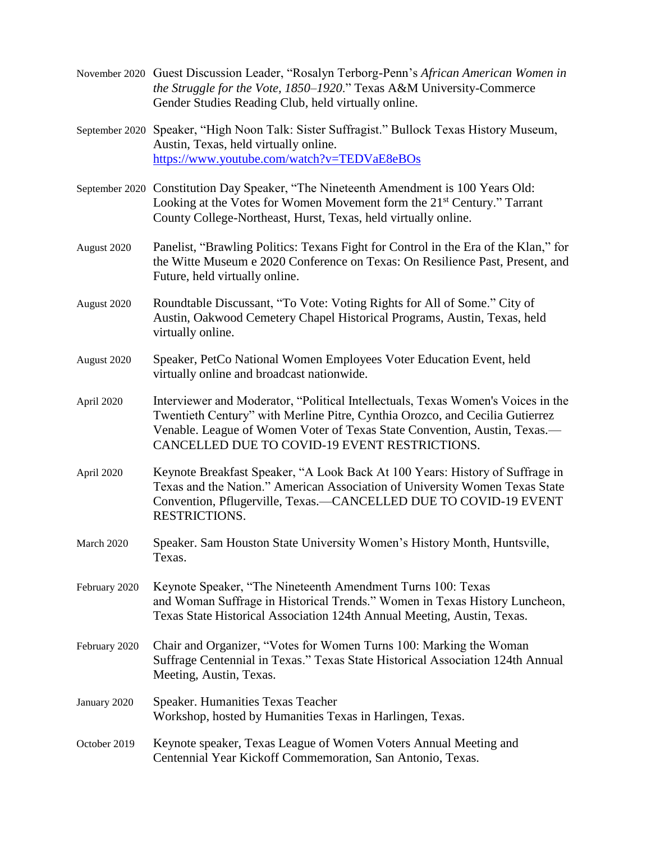- November 2020 Guest Discussion Leader, "Rosalyn Terborg-Penn's *African American Women in the Struggle for the Vote, 1850–1920*." Texas A&M University-Commerce Gender Studies Reading Club, held virtually online.
- September 2020 Speaker, "High Noon Talk: Sister Suffragist." Bullock Texas History Museum, Austin, Texas, held virtually online. <https://www.youtube.com/watch?v=TEDVaE8eBOs>
- September 2020 Constitution Day Speaker, "The Nineteenth Amendment is 100 Years Old: Looking at the Votes for Women Movement form the 21st Century." Tarrant County College-Northeast, Hurst, Texas, held virtually online.
- August 2020 Panelist, "Brawling Politics: Texans Fight for Control in the Era of the Klan," for the Witte Museum e 2020 Conference on Texas: On Resilience Past, Present, and Future, held virtually online.
- August 2020 Roundtable Discussant, "To Vote: Voting Rights for All of Some." City of Austin, Oakwood Cemetery Chapel Historical Programs, Austin, Texas, held virtually online.
- August 2020 Speaker, PetCo National Women Employees Voter Education Event, held virtually online and broadcast nationwide.
- April 2020 Interviewer and Moderator, "Political Intellectuals, Texas Women's Voices in the Twentieth Century" with Merline Pitre, Cynthia Orozco, and Cecilia Gutierrez Venable. League of Women Voter of Texas State Convention, Austin, Texas.— CANCELLED DUE TO COVID-19 EVENT RESTRICTIONS.
- April 2020 Keynote Breakfast Speaker, "A Look Back At 100 Years: History of Suffrage in Texas and the Nation." American Association of University Women Texas State Convention, Pflugerville, Texas.—CANCELLED DUE TO COVID-19 EVENT RESTRICTIONS.
- March 2020 Speaker. Sam Houston State University Women's History Month, Huntsville, Texas.
- February 2020 Keynote Speaker, "The Nineteenth Amendment Turns 100: Texas and Woman Suffrage in Historical Trends." Women in Texas History Luncheon, Texas State Historical Association 124th Annual Meeting, Austin, Texas.
- February 2020 Chair and Organizer, "Votes for Women Turns 100: Marking the Woman Suffrage Centennial in Texas." Texas State Historical Association 124th Annual Meeting, Austin, Texas.
- January 2020 Speaker. Humanities Texas Teacher Workshop, hosted by Humanities Texas in Harlingen, Texas.
- October 2019 Keynote speaker, Texas League of Women Voters Annual Meeting and Centennial Year Kickoff Commemoration, San Antonio, Texas.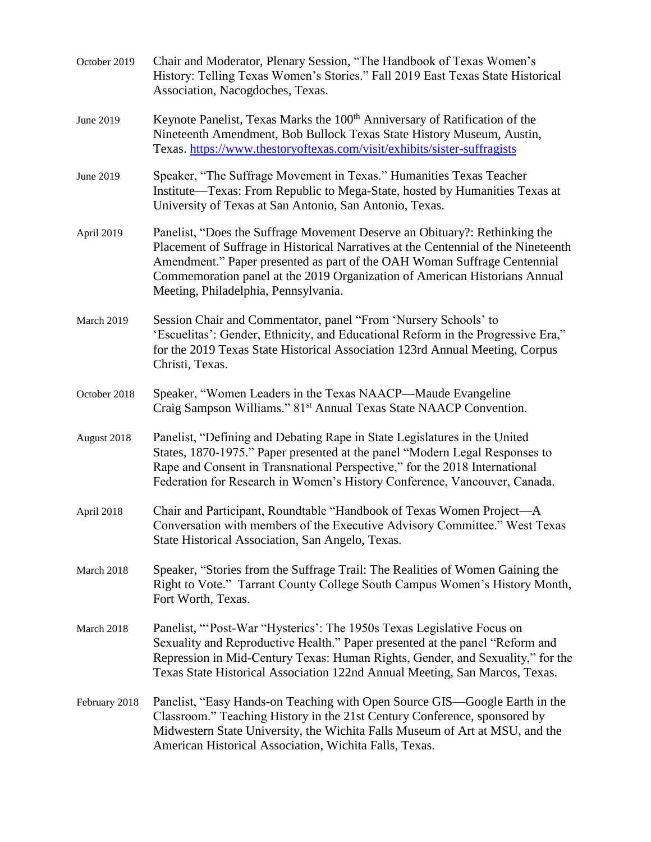| October 2019  | Chair and Moderator, Plenary Session, "The Handbook of Texas Women's<br>History: Telling Texas Women's Stories." Fall 2019 East Texas State Historical<br>Association, Nacogdoches, Texas.                                                                                                                                                                         |
|---------------|--------------------------------------------------------------------------------------------------------------------------------------------------------------------------------------------------------------------------------------------------------------------------------------------------------------------------------------------------------------------|
| June 2019     | Keynote Panelist, Texas Marks the 100 <sup>th</sup> Anniversary of Ratification of the<br>Nineteenth Amendment, Bob Bullock Texas State History Museum, Austin,<br>Texas. https://www.thestoryoftexas.com/visit/exhibits/sister-suffragists                                                                                                                        |
| June 2019     | Speaker, "The Suffrage Movement in Texas." Humanities Texas Teacher<br>Institute—Texas: From Republic to Mega-State, hosted by Humanities Texas at<br>University of Texas at San Antonio, San Antonio, Texas.                                                                                                                                                      |
| April 2019    | Panelist, "Does the Suffrage Movement Deserve an Obituary?: Rethinking the<br>Placement of Suffrage in Historical Narratives at the Centennial of the Nineteenth<br>Amendment." Paper presented as part of the OAH Woman Suffrage Centennial<br>Commemoration panel at the 2019 Organization of American Historians Annual<br>Meeting, Philadelphia, Pennsylvania. |
| March 2019    | Session Chair and Commentator, panel "From 'Nursery Schools' to<br>'Escuelitas': Gender, Ethnicity, and Educational Reform in the Progressive Era,"<br>for the 2019 Texas State Historical Association 123rd Annual Meeting, Corpus<br>Christi, Texas.                                                                                                             |
| October 2018  | Speaker, "Women Leaders in the Texas NAACP—Maude Evangeline<br>Craig Sampson Williams." 81 <sup>st</sup> Annual Texas State NAACP Convention.                                                                                                                                                                                                                      |
| August 2018   | Panelist, "Defining and Debating Rape in State Legislatures in the United<br>States, 1870-1975." Paper presented at the panel "Modern Legal Responses to<br>Rape and Consent in Transnational Perspective," for the 2018 International<br>Federation for Research in Women's History Conference, Vancouver, Canada.                                                |
| April 2018    | Chair and Participant, Roundtable "Handbook of Texas Women Project-A<br>Conversation with members of the Executive Advisory Committee." West Texas<br>State Historical Association, San Angelo, Texas.                                                                                                                                                             |
| March 2018    | Speaker, "Stories from the Suffrage Trail: The Realities of Women Gaining the<br>Right to Vote." Tarrant County College South Campus Women's History Month,<br>Fort Worth, Texas.                                                                                                                                                                                  |
| March 2018    | Panelist, "Post-War "Hysterics': The 1950s Texas Legislative Focus on<br>Sexuality and Reproductive Health." Paper presented at the panel "Reform and<br>Repression in Mid-Century Texas: Human Rights, Gender, and Sexuality," for the<br>Texas State Historical Association 122nd Annual Meeting, San Marcos, Texas.                                             |
| February 2018 | Panelist, "Easy Hands-on Teaching with Open Source GIS—Google Earth in the<br>Classroom." Teaching History in the 21st Century Conference, sponsored by<br>Midwestern State University, the Wichita Falls Museum of Art at MSU, and the<br>American Historical Association, Wichita Falls, Texas.                                                                  |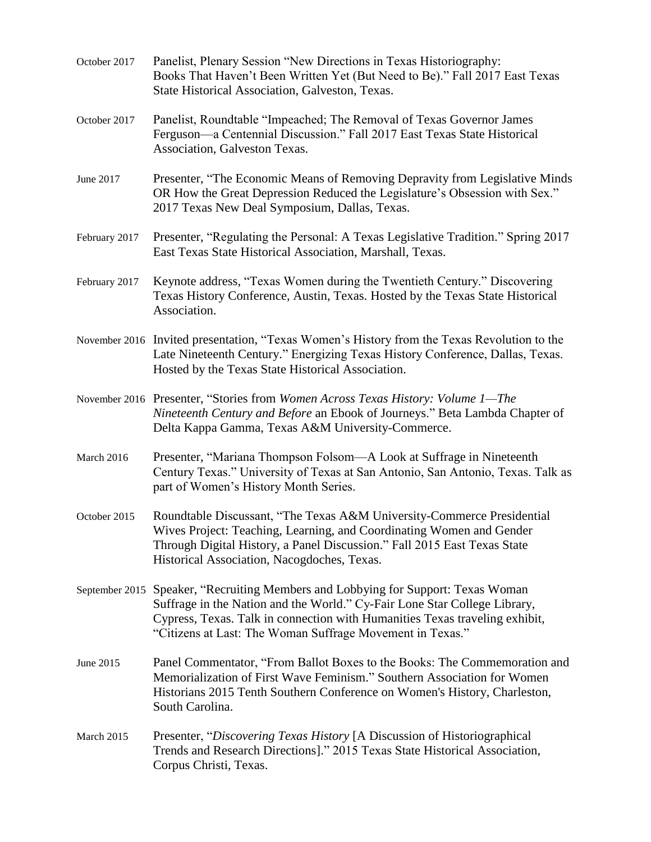| October 2017   | Panelist, Plenary Session "New Directions in Texas Historiography:<br>Books That Haven't Been Written Yet (But Need to Be)." Fall 2017 East Texas<br>State Historical Association, Galveston, Texas.                                                                                        |
|----------------|---------------------------------------------------------------------------------------------------------------------------------------------------------------------------------------------------------------------------------------------------------------------------------------------|
| October 2017   | Panelist, Roundtable "Impeached; The Removal of Texas Governor James<br>Ferguson—a Centennial Discussion." Fall 2017 East Texas State Historical<br>Association, Galveston Texas.                                                                                                           |
| June 2017      | Presenter, "The Economic Means of Removing Depravity from Legislative Minds<br>OR How the Great Depression Reduced the Legislature's Obsession with Sex."<br>2017 Texas New Deal Symposium, Dallas, Texas.                                                                                  |
| February 2017  | Presenter, "Regulating the Personal: A Texas Legislative Tradition." Spring 2017<br>East Texas State Historical Association, Marshall, Texas.                                                                                                                                               |
| February 2017  | Keynote address, "Texas Women during the Twentieth Century." Discovering<br>Texas History Conference, Austin, Texas. Hosted by the Texas State Historical<br>Association.                                                                                                                   |
|                | November 2016 Invited presentation, "Texas Women's History from the Texas Revolution to the<br>Late Nineteenth Century." Energizing Texas History Conference, Dallas, Texas.<br>Hosted by the Texas State Historical Association.                                                           |
|                | November 2016 Presenter, "Stories from Women Across Texas History: Volume 1-The<br>Nineteenth Century and Before an Ebook of Journeys." Beta Lambda Chapter of<br>Delta Kappa Gamma, Texas A&M University-Commerce.                                                                         |
| March 2016     | Presenter, "Mariana Thompson Folsom—A Look at Suffrage in Nineteenth<br>Century Texas." University of Texas at San Antonio, San Antonio, Texas. Talk as<br>part of Women's History Month Series.                                                                                            |
| October 2015   | Roundtable Discussant, "The Texas A&M University-Commerce Presidential<br>Wives Project: Teaching, Learning, and Coordinating Women and Gender<br>Through Digital History, a Panel Discussion." Fall 2015 East Texas State<br>Historical Association, Nacogdoches, Texas.                   |
| September 2015 | Speaker, "Recruiting Members and Lobbying for Support: Texas Woman<br>Suffrage in the Nation and the World." Cy-Fair Lone Star College Library,<br>Cypress, Texas. Talk in connection with Humanities Texas traveling exhibit,<br>"Citizens at Last: The Woman Suffrage Movement in Texas." |
| June 2015      | Panel Commentator, "From Ballot Boxes to the Books: The Commemoration and<br>Memorialization of First Wave Feminism." Southern Association for Women<br>Historians 2015 Tenth Southern Conference on Women's History, Charleston,<br>South Carolina.                                        |
| March 2015     | Presenter, "Discovering Texas History [A Discussion of Historiographical<br>Trends and Research Directions]." 2015 Texas State Historical Association,<br>Corpus Christi, Texas.                                                                                                            |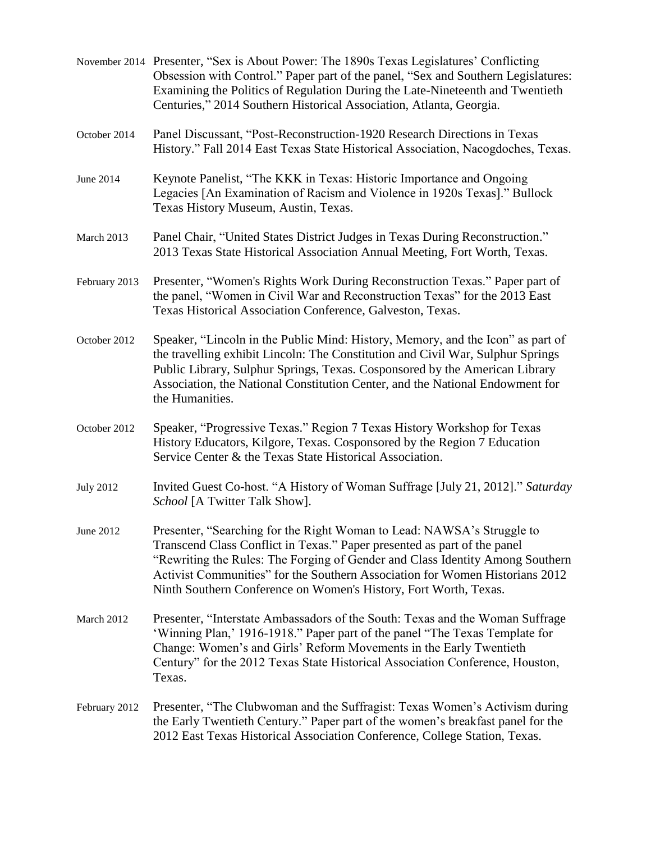|                  | November 2014 Presenter, "Sex is About Power: The 1890s Texas Legislatures' Conflicting<br>Obsession with Control." Paper part of the panel, "Sex and Southern Legislatures:<br>Examining the Politics of Regulation During the Late-Nineteenth and Twentieth<br>Centuries," 2014 Southern Historical Association, Atlanta, Georgia.                                                    |
|------------------|-----------------------------------------------------------------------------------------------------------------------------------------------------------------------------------------------------------------------------------------------------------------------------------------------------------------------------------------------------------------------------------------|
| October 2014     | Panel Discussant, "Post-Reconstruction-1920 Research Directions in Texas<br>History." Fall 2014 East Texas State Historical Association, Nacogdoches, Texas.                                                                                                                                                                                                                            |
| June 2014        | Keynote Panelist, "The KKK in Texas: Historic Importance and Ongoing<br>Legacies [An Examination of Racism and Violence in 1920s Texas]." Bullock<br>Texas History Museum, Austin, Texas.                                                                                                                                                                                               |
| March 2013       | Panel Chair, "United States District Judges in Texas During Reconstruction."<br>2013 Texas State Historical Association Annual Meeting, Fort Worth, Texas.                                                                                                                                                                                                                              |
| February 2013    | Presenter, "Women's Rights Work During Reconstruction Texas." Paper part of<br>the panel, "Women in Civil War and Reconstruction Texas" for the 2013 East<br>Texas Historical Association Conference, Galveston, Texas.                                                                                                                                                                 |
| October 2012     | Speaker, "Lincoln in the Public Mind: History, Memory, and the Icon" as part of<br>the travelling exhibit Lincoln: The Constitution and Civil War, Sulphur Springs<br>Public Library, Sulphur Springs, Texas. Cosponsored by the American Library<br>Association, the National Constitution Center, and the National Endowment for<br>the Humanities.                                   |
| October 2012     | Speaker, "Progressive Texas." Region 7 Texas History Workshop for Texas<br>History Educators, Kilgore, Texas. Cosponsored by the Region 7 Education<br>Service Center & the Texas State Historical Association.                                                                                                                                                                         |
| <b>July 2012</b> | Invited Guest Co-host. "A History of Woman Suffrage [July 21, 2012]." Saturday<br>School [A Twitter Talk Show].                                                                                                                                                                                                                                                                         |
| June 2012        | Presenter, "Searching for the Right Woman to Lead: NAWSA's Struggle to<br>Transcend Class Conflict in Texas." Paper presented as part of the panel<br>"Rewriting the Rules: The Forging of Gender and Class Identity Among Southern<br>Activist Communities" for the Southern Association for Women Historians 2012<br>Ninth Southern Conference on Women's History, Fort Worth, Texas. |
| March 2012       | Presenter, "Interstate Ambassadors of the South: Texas and the Woman Suffrage<br>'Winning Plan,' 1916-1918." Paper part of the panel "The Texas Template for<br>Change: Women's and Girls' Reform Movements in the Early Twentieth<br>Century" for the 2012 Texas State Historical Association Conference, Houston,<br>Texas.                                                           |
| February 2012    | Presenter, "The Clubwoman and the Suffragist: Texas Women's Activism during<br>the Early Twentieth Century." Paper part of the women's breakfast panel for the<br>2012 East Texas Historical Association Conference, College Station, Texas.                                                                                                                                            |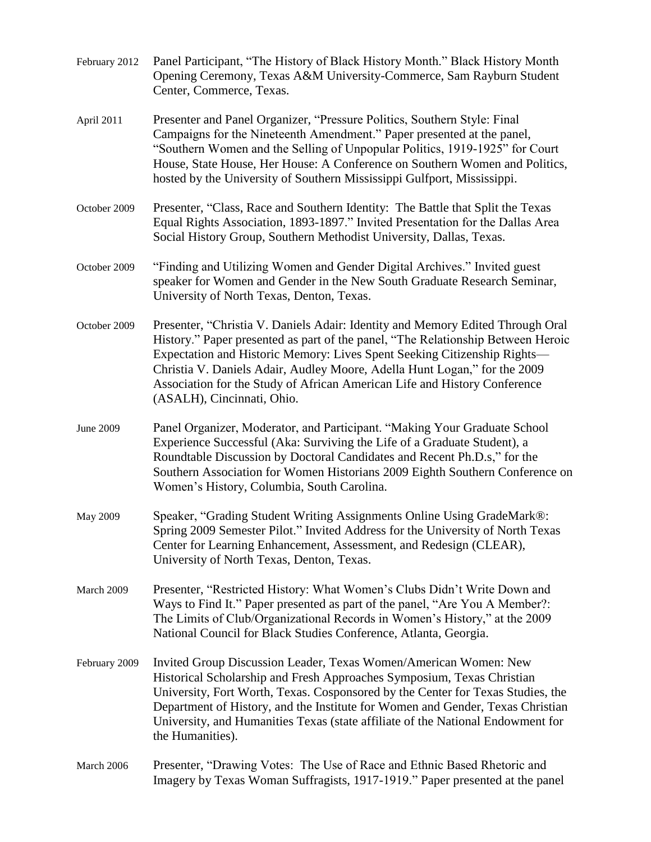| February 2012    | Panel Participant, "The History of Black History Month." Black History Month<br>Opening Ceremony, Texas A&M University-Commerce, Sam Rayburn Student<br>Center, Commerce, Texas.                                                                                                                                                                                                                                                       |
|------------------|----------------------------------------------------------------------------------------------------------------------------------------------------------------------------------------------------------------------------------------------------------------------------------------------------------------------------------------------------------------------------------------------------------------------------------------|
| April 2011       | Presenter and Panel Organizer, "Pressure Politics, Southern Style: Final<br>Campaigns for the Nineteenth Amendment." Paper presented at the panel,<br>"Southern Women and the Selling of Unpopular Politics, 1919-1925" for Court<br>House, State House, Her House: A Conference on Southern Women and Politics,<br>hosted by the University of Southern Mississippi Gulfport, Mississippi.                                            |
| October 2009     | Presenter, "Class, Race and Southern Identity: The Battle that Split the Texas<br>Equal Rights Association, 1893-1897." Invited Presentation for the Dallas Area<br>Social History Group, Southern Methodist University, Dallas, Texas.                                                                                                                                                                                                |
| October 2009     | "Finding and Utilizing Women and Gender Digital Archives." Invited guest<br>speaker for Women and Gender in the New South Graduate Research Seminar,<br>University of North Texas, Denton, Texas.                                                                                                                                                                                                                                      |
| October 2009     | Presenter, "Christia V. Daniels Adair: Identity and Memory Edited Through Oral<br>History." Paper presented as part of the panel, "The Relationship Between Heroic<br>Expectation and Historic Memory: Lives Spent Seeking Citizenship Rights—<br>Christia V. Daniels Adair, Audley Moore, Adella Hunt Logan," for the 2009<br>Association for the Study of African American Life and History Conference<br>(ASALH), Cincinnati, Ohio. |
| <b>June 2009</b> | Panel Organizer, Moderator, and Participant. "Making Your Graduate School<br>Experience Successful (Aka: Surviving the Life of a Graduate Student), a<br>Roundtable Discussion by Doctoral Candidates and Recent Ph.D.s," for the<br>Southern Association for Women Historians 2009 Eighth Southern Conference on<br>Women's History, Columbia, South Carolina.                                                                        |
| May 2009         | Speaker, "Grading Student Writing Assignments Online Using GradeMark®:<br>Spring 2009 Semester Pilot." Invited Address for the University of North Texas<br>Center for Learning Enhancement, Assessment, and Redesign (CLEAR),<br>University of North Texas, Denton, Texas.                                                                                                                                                            |
| March 2009       | Presenter, "Restricted History: What Women's Clubs Didn't Write Down and<br>Ways to Find It." Paper presented as part of the panel, "Are You A Member?:<br>The Limits of Club/Organizational Records in Women's History," at the 2009<br>National Council for Black Studies Conference, Atlanta, Georgia.                                                                                                                              |
| February 2009    | Invited Group Discussion Leader, Texas Women/American Women: New<br>Historical Scholarship and Fresh Approaches Symposium, Texas Christian<br>University, Fort Worth, Texas. Cosponsored by the Center for Texas Studies, the<br>Department of History, and the Institute for Women and Gender, Texas Christian<br>University, and Humanities Texas (state affiliate of the National Endowment for<br>the Humanities).                 |
| March 2006       | Presenter, "Drawing Votes: The Use of Race and Ethnic Based Rhetoric and<br>Imagery by Texas Woman Suffragists, 1917-1919." Paper presented at the panel                                                                                                                                                                                                                                                                               |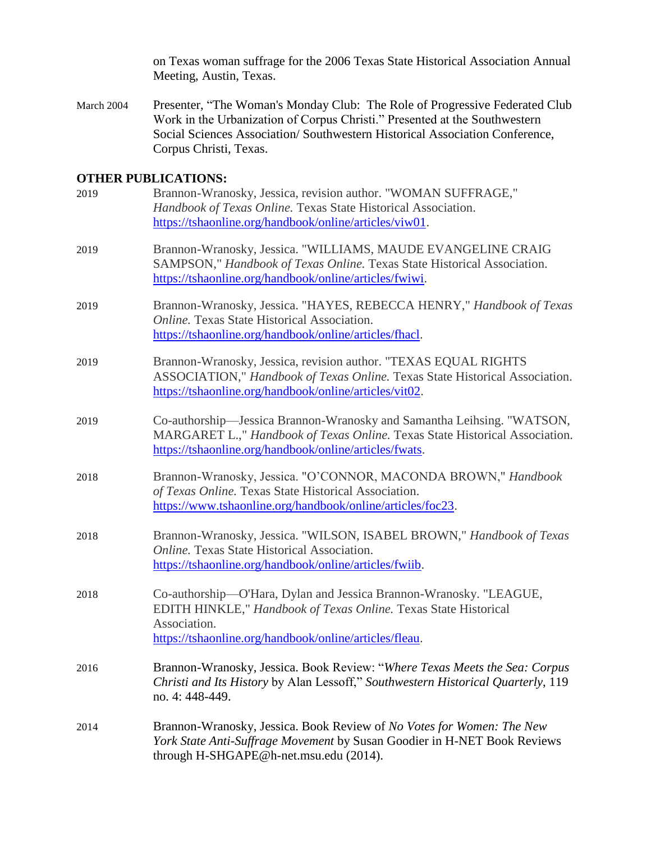on Texas woman suffrage for the 2006 Texas State Historical Association Annual Meeting, Austin, Texas.

March 2004 Presenter, "The Woman's Monday Club: The Role of Progressive Federated Club Work in the Urbanization of Corpus Christi." Presented at the Southwestern Social Sciences Association/ Southwestern Historical Association Conference, Corpus Christi, Texas.

#### **OTHER PUBLICATIONS:**

| 2019 | Brannon-Wranosky, Jessica, revision author. "WOMAN SUFFRAGE,"<br>Handbook of Texas Online. Texas State Historical Association.<br>https://tshaonline.org/handbook/online/articles/viw01.                        |
|------|-----------------------------------------------------------------------------------------------------------------------------------------------------------------------------------------------------------------|
| 2019 | Brannon-Wranosky, Jessica. "WILLIAMS, MAUDE EVANGELINE CRAIG<br>SAMPSON," Handbook of Texas Online. Texas State Historical Association.<br>https://tshaonline.org/handbook/online/articles/fwiwi.               |
| 2019 | Brannon-Wranosky, Jessica. "HAYES, REBECCA HENRY," Handbook of Texas<br><b>Online.</b> Texas State Historical Association.<br>https://tshaonline.org/handbook/online/articles/fhacl.                            |
| 2019 | Brannon-Wranosky, Jessica, revision author. "TEXAS EQUAL RIGHTS<br>ASSOCIATION," Handbook of Texas Online. Texas State Historical Association.<br>https://tshaonline.org/handbook/online/articles/vit02.        |
| 2019 | Co-authorship—Jessica Brannon-Wranosky and Samantha Leihsing. "WATSON,<br>MARGARET L.," Handbook of Texas Online. Texas State Historical Association.<br>https://tshaonline.org/handbook/online/articles/fwats. |
| 2018 | Brannon-Wranosky, Jessica. "O'CONNOR, MACONDA BROWN," Handbook<br>of Texas Online. Texas State Historical Association.<br>https://www.tshaonline.org/handbook/online/articles/foc23.                            |
| 2018 | Brannon-Wranosky, Jessica. "WILSON, ISABEL BROWN," Handbook of Texas<br><b>Online.</b> Texas State Historical Association.<br>https://tshaonline.org/handbook/online/articles/fwiib.                            |
| 2018 | Co-authorship-O'Hara, Dylan and Jessica Brannon-Wranosky. "LEAGUE,<br>EDITH HINKLE," Handbook of Texas Online. Texas State Historical<br>Association.<br>https://tshaonline.org/handbook/online/articles/fleau. |
| 2016 | Brannon-Wranosky, Jessica. Book Review: "Where Texas Meets the Sea: Corpus<br>Christi and Its History by Alan Lessoff," Southwestern Historical Quarterly, 119<br>no. 4: 448-449.                               |
| 2014 | Brannon-Wranosky, Jessica. Book Review of No Votes for Women: The New<br>York State Anti-Suffrage Movement by Susan Goodier in H-NET Book Reviews<br>through H-SHGAPE@h-net.msu.edu (2014).                     |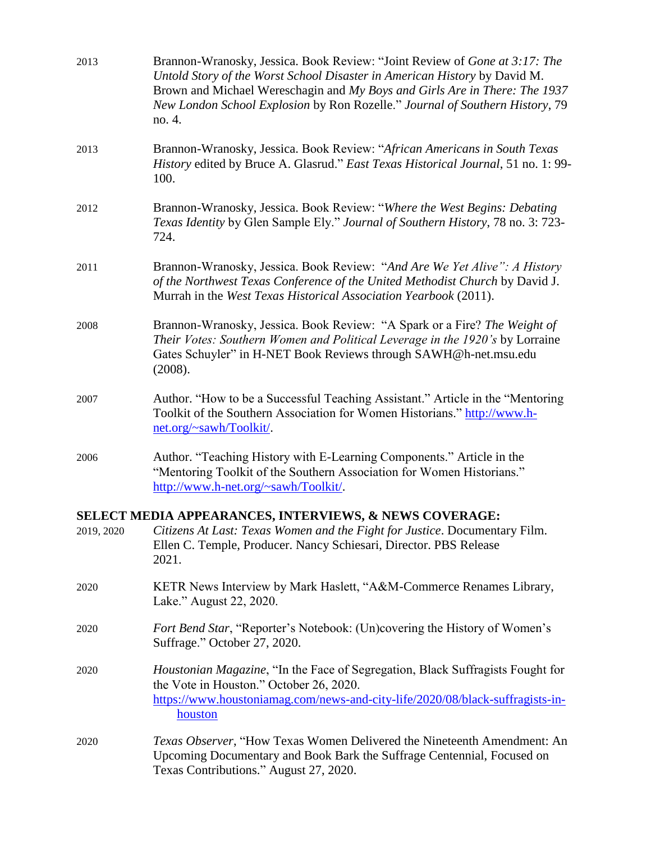| 2013       | Brannon-Wranosky, Jessica. Book Review: "Joint Review of Gone at 3:17: The<br>Untold Story of the Worst School Disaster in American History by David M.<br>Brown and Michael Wereschagin and My Boys and Girls Are in There: The 1937<br>New London School Explosion by Ron Rozelle." Journal of Southern History, 79<br>no. 4. |
|------------|---------------------------------------------------------------------------------------------------------------------------------------------------------------------------------------------------------------------------------------------------------------------------------------------------------------------------------|
| 2013       | Brannon-Wranosky, Jessica. Book Review: "African Americans in South Texas<br>History edited by Bruce A. Glasrud." East Texas Historical Journal, 51 no. 1: 99-<br>100.                                                                                                                                                          |
| 2012       | Brannon-Wranosky, Jessica. Book Review: "Where the West Begins: Debating<br>Texas Identity by Glen Sample Ely." Journal of Southern History, 78 no. 3: 723-<br>724.                                                                                                                                                             |
| 2011       | Brannon-Wranosky, Jessica. Book Review: "And Are We Yet Alive": A History<br>of the Northwest Texas Conference of the United Methodist Church by David J.<br>Murrah in the West Texas Historical Association Yearbook (2011).                                                                                                   |
| 2008       | Brannon-Wranosky, Jessica. Book Review: "A Spark or a Fire? The Weight of<br>Their Votes: Southern Women and Political Leverage in the 1920's by Lorraine<br>Gates Schuyler" in H-NET Book Reviews through SAWH@h-net.msu.edu<br>(2008).                                                                                        |
| 2007       | Author. "How to be a Successful Teaching Assistant." Article in the "Mentoring<br>Toolkit of the Southern Association for Women Historians." http://www.h-<br>net.org/~sawh/Toolkit/.                                                                                                                                           |
| 2006       | Author. "Teaching History with E-Learning Components." Article in the<br>"Mentoring Toolkit of the Southern Association for Women Historians."<br>http://www.h-net.org/~sawh/Toolkit/.                                                                                                                                          |
| 2019, 2020 | SELECT MEDIA APPEARANCES, INTERVIEWS, & NEWS COVERAGE:<br>Citizens At Last: Texas Women and the Fight for Justice. Documentary Film.<br>Ellen C. Temple, Producer. Nancy Schiesari, Director. PBS Release<br>2021.                                                                                                              |
| 2020       | KETR News Interview by Mark Haslett, "A&M-Commerce Renames Library,<br>Lake." August 22, 2020.                                                                                                                                                                                                                                  |
| 2020       | <i>Fort Bend Star</i> , "Reporter's Notebook: (Un)covering the History of Women's<br>Suffrage." October 27, 2020.                                                                                                                                                                                                               |
| 2020       | <i>Houstonian Magazine</i> , "In the Face of Segregation, Black Suffragists Fought for<br>the Vote in Houston." October 26, 2020.<br>https://www.houstoniamag.com/news-and-city-life/2020/08/black-suffragists-in-<br>houston                                                                                                   |
| 2020       | Texas Observer, "How Texas Women Delivered the Nineteenth Amendment: An<br>Upcoming Documentary and Book Bark the Suffrage Centennial, Focused on<br>Texas Contributions." August 27, 2020.                                                                                                                                     |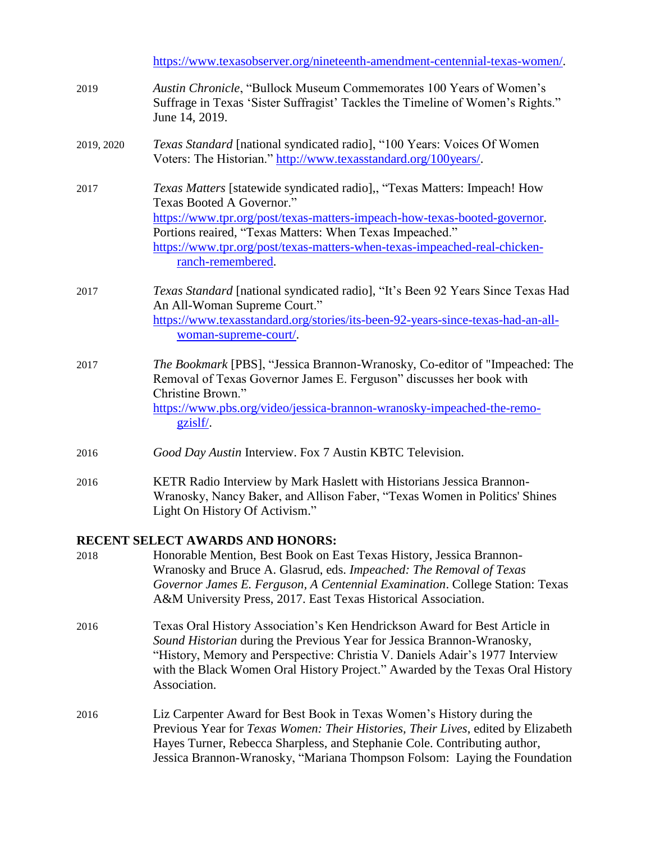|            | https://www.texasobserver.org/nineteenth-amendment-centennial-texas-women/.                                                                                                                                                                                                                                                                       |
|------------|---------------------------------------------------------------------------------------------------------------------------------------------------------------------------------------------------------------------------------------------------------------------------------------------------------------------------------------------------|
| 2019       | Austin Chronicle, "Bullock Museum Commemorates 100 Years of Women's<br>Suffrage in Texas 'Sister Suffragist' Tackles the Timeline of Women's Rights."<br>June 14, 2019.                                                                                                                                                                           |
| 2019, 2020 | Texas Standard [national syndicated radio], "100 Years: Voices Of Women<br>Voters: The Historian." http://www.texasstandard.org/100years/.                                                                                                                                                                                                        |
| 2017       | Texas Matters [statewide syndicated radio],, "Texas Matters: Impeach! How<br>Texas Booted A Governor."<br>https://www.tpr.org/post/texas-matters-impeach-how-texas-booted-governor.<br>Portions reaired, "Texas Matters: When Texas Impeached."<br>https://www.tpr.org/post/texas-matters-when-texas-impeached-real-chicken-<br>ranch-remembered. |
| 2017       | Texas Standard [national syndicated radio], "It's Been 92 Years Since Texas Had<br>An All-Woman Supreme Court."<br>https://www.texasstandard.org/stories/its-been-92-years-since-texas-had-an-all-<br>woman-supreme-court/.                                                                                                                       |
| 2017       | The Bookmark [PBS], "Jessica Brannon-Wranosky, Co-editor of "Impeached: The<br>Removal of Texas Governor James E. Ferguson" discusses her book with<br>Christine Brown."<br>https://www.pbs.org/video/jessica-brannon-wranosky-impeached-the-remo-<br>gzislf/.                                                                                    |
| 2016       | Good Day Austin Interview. Fox 7 Austin KBTC Television.                                                                                                                                                                                                                                                                                          |
| 2016       | KETR Radio Interview by Mark Haslett with Historians Jessica Brannon-<br>Wranosky, Nancy Baker, and Allison Faber, "Texas Women in Politics' Shines<br>Light On History Of Activism."                                                                                                                                                             |
|            | RECENT SELECT AWARDS AND HONORS:                                                                                                                                                                                                                                                                                                                  |
| 2018       | Honorable Mention, Best Book on East Texas History, Jessica Brannon-<br>Wranosky and Bruce A. Glasrud, eds. Impeached: The Removal of Texas<br>Governor James E. Ferguson, A Centennial Examination. College Station: Texas<br>A&M University Press, 2017. East Texas Historical Association.                                                     |
| 2016       | Texas Oral History Association's Ken Hendrickson Award for Best Article in<br><i>Sound Historian</i> during the Previous Year for Jessica Brannon-Wranosky.                                                                                                                                                                                       |

- *Sound Historian* during the Previous Year for Jessica Brannon-Wranosky, "History, Memory and Perspective: Christia V. Daniels Adair's 1977 Interview with the Black Women Oral History Project." Awarded by the Texas Oral History Association.
- 2016 Liz Carpenter Award for Best Book in Texas Women's History during the Previous Year for *Texas Women: Their Histories, Their Lives*, edited by Elizabeth Hayes Turner, Rebecca Sharpless, and Stephanie Cole. Contributing author, Jessica Brannon-Wranosky, "Mariana Thompson Folsom: Laying the Foundation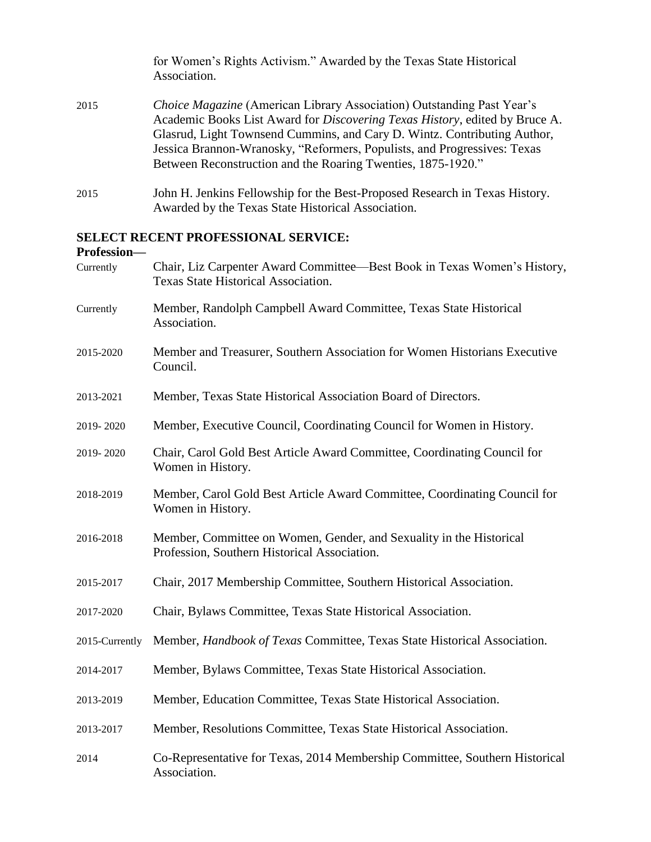|      | for Women's Rights Activism." Awarded by the Texas State Historical<br>Association.                                                                                                                                                                                                                                                                                                   |
|------|---------------------------------------------------------------------------------------------------------------------------------------------------------------------------------------------------------------------------------------------------------------------------------------------------------------------------------------------------------------------------------------|
| 2015 | Choice Magazine (American Library Association) Outstanding Past Year's<br>Academic Books List Award for <i>Discovering Texas History</i> , edited by Bruce A.<br>Glasrud, Light Townsend Cummins, and Cary D. Wintz. Contributing Author,<br>Jessica Brannon-Wranosky, "Reformers, Populists, and Progressives: Texas<br>Between Reconstruction and the Roaring Twenties, 1875-1920." |
| 2015 | John H. Jenkins Fellowship for the Best-Proposed Research in Texas History.<br>Awarded by the Texas State Historical Association.                                                                                                                                                                                                                                                     |

# **SELECT RECENT PROFESSIONAL SERVICE:**

#### **Profession—**

| Currently      | Chair, Liz Carpenter Award Committee—Best Book in Texas Women's History,<br>Texas State Historical Association.     |
|----------------|---------------------------------------------------------------------------------------------------------------------|
| Currently      | Member, Randolph Campbell Award Committee, Texas State Historical<br>Association.                                   |
| 2015-2020      | Member and Treasurer, Southern Association for Women Historians Executive<br>Council.                               |
| 2013-2021      | Member, Texas State Historical Association Board of Directors.                                                      |
| 2019-2020      | Member, Executive Council, Coordinating Council for Women in History.                                               |
| 2019-2020      | Chair, Carol Gold Best Article Award Committee, Coordinating Council for<br>Women in History.                       |
| 2018-2019      | Member, Carol Gold Best Article Award Committee, Coordinating Council for<br>Women in History.                      |
| 2016-2018      | Member, Committee on Women, Gender, and Sexuality in the Historical<br>Profession, Southern Historical Association. |
| 2015-2017      | Chair, 2017 Membership Committee, Southern Historical Association.                                                  |
| 2017-2020      | Chair, Bylaws Committee, Texas State Historical Association.                                                        |
| 2015-Currently | Member, Handbook of Texas Committee, Texas State Historical Association.                                            |
| 2014-2017      | Member, Bylaws Committee, Texas State Historical Association.                                                       |
| 2013-2019      | Member, Education Committee, Texas State Historical Association.                                                    |
| 2013-2017      | Member, Resolutions Committee, Texas State Historical Association.                                                  |
| 2014           | Co-Representative for Texas, 2014 Membership Committee, Southern Historical<br>Association.                         |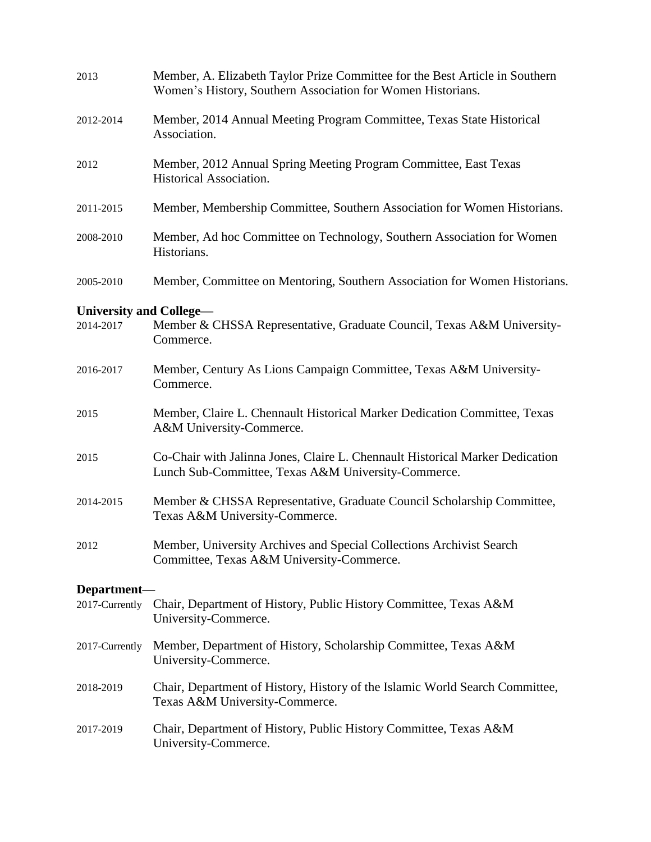| 2013                                 | Member, A. Elizabeth Taylor Prize Committee for the Best Article in Southern<br>Women's History, Southern Association for Women Historians. |
|--------------------------------------|---------------------------------------------------------------------------------------------------------------------------------------------|
| 2012-2014                            | Member, 2014 Annual Meeting Program Committee, Texas State Historical<br>Association.                                                       |
| 2012                                 | Member, 2012 Annual Spring Meeting Program Committee, East Texas<br>Historical Association.                                                 |
| 2011-2015                            | Member, Membership Committee, Southern Association for Women Historians.                                                                    |
| 2008-2010                            | Member, Ad hoc Committee on Technology, Southern Association for Women<br>Historians.                                                       |
| 2005-2010                            | Member, Committee on Mentoring, Southern Association for Women Historians.                                                                  |
| University and College-<br>2014-2017 | Member & CHSSA Representative, Graduate Council, Texas A&M University-<br>Commerce.                                                         |
| 2016-2017                            | Member, Century As Lions Campaign Committee, Texas A&M University-<br>Commerce.                                                             |
| 2015                                 | Member, Claire L. Chennault Historical Marker Dedication Committee, Texas<br>A&M University-Commerce.                                       |
| 2015                                 | Co-Chair with Jalinna Jones, Claire L. Chennault Historical Marker Dedication<br>Lunch Sub-Committee, Texas A&M University-Commerce.        |
| 2014-2015                            | Member & CHSSA Representative, Graduate Council Scholarship Committee,<br>Texas A&M University-Commerce.                                    |
| 2012                                 | Member, University Archives and Special Collections Archivist Search<br>Committee, Texas A&M University-Commerce.                           |
| Department-                          |                                                                                                                                             |
| 2017-Currently                       | Chair, Department of History, Public History Committee, Texas A&M<br>University-Commerce.                                                   |
| 2017-Currently                       | Member, Department of History, Scholarship Committee, Texas A&M<br>University-Commerce.                                                     |
| 2018-2019                            | Chair, Department of History, History of the Islamic World Search Committee,<br>Texas A&M University-Commerce.                              |
| 2017-2019                            | Chair, Department of History, Public History Committee, Texas A&M<br>University-Commerce.                                                   |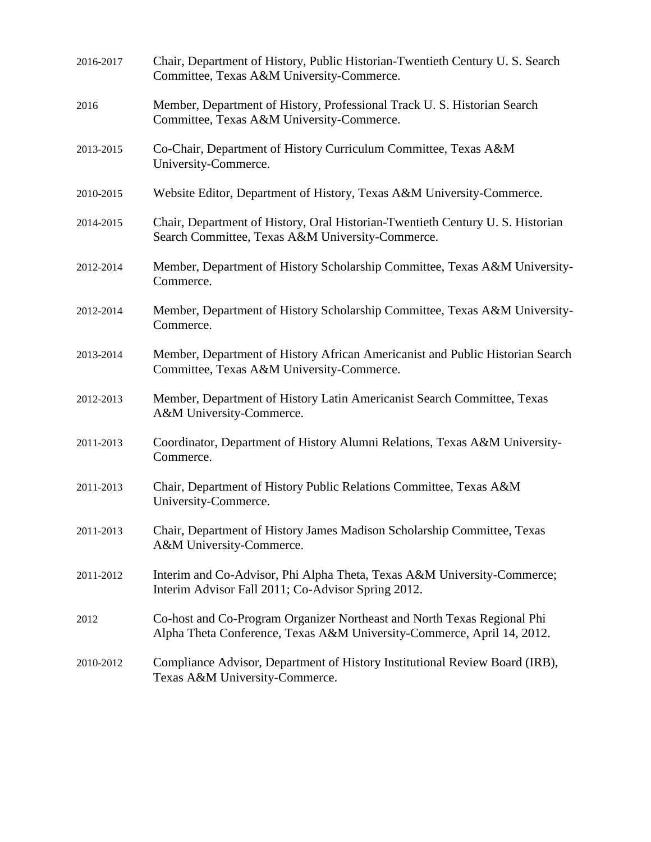| 2016-2017 | Chair, Department of History, Public Historian-Twentieth Century U.S. Search<br>Committee, Texas A&M University-Commerce.                         |
|-----------|---------------------------------------------------------------------------------------------------------------------------------------------------|
| 2016      | Member, Department of History, Professional Track U. S. Historian Search<br>Committee, Texas A&M University-Commerce.                             |
| 2013-2015 | Co-Chair, Department of History Curriculum Committee, Texas A&M<br>University-Commerce.                                                           |
| 2010-2015 | Website Editor, Department of History, Texas A&M University-Commerce.                                                                             |
| 2014-2015 | Chair, Department of History, Oral Historian-Twentieth Century U. S. Historian<br>Search Committee, Texas A&M University-Commerce.                |
| 2012-2014 | Member, Department of History Scholarship Committee, Texas A&M University-<br>Commerce.                                                           |
| 2012-2014 | Member, Department of History Scholarship Committee, Texas A&M University-<br>Commerce.                                                           |
| 2013-2014 | Member, Department of History African Americanist and Public Historian Search<br>Committee, Texas A&M University-Commerce.                        |
| 2012-2013 | Member, Department of History Latin Americanist Search Committee, Texas<br>A&M University-Commerce.                                               |
| 2011-2013 | Coordinator, Department of History Alumni Relations, Texas A&M University-<br>Commerce.                                                           |
| 2011-2013 | Chair, Department of History Public Relations Committee, Texas A&M<br>University-Commerce.                                                        |
| 2011-2013 | Chair, Department of History James Madison Scholarship Committee, Texas<br>A&M University-Commerce.                                               |
| 2011-2012 | Interim and Co-Advisor, Phi Alpha Theta, Texas A&M University-Commerce;<br>Interim Advisor Fall 2011; Co-Advisor Spring 2012.                     |
| 2012      | Co-host and Co-Program Organizer Northeast and North Texas Regional Phi<br>Alpha Theta Conference, Texas A&M University-Commerce, April 14, 2012. |
| 2010-2012 | Compliance Advisor, Department of History Institutional Review Board (IRB),<br>Texas A&M University-Commerce.                                     |